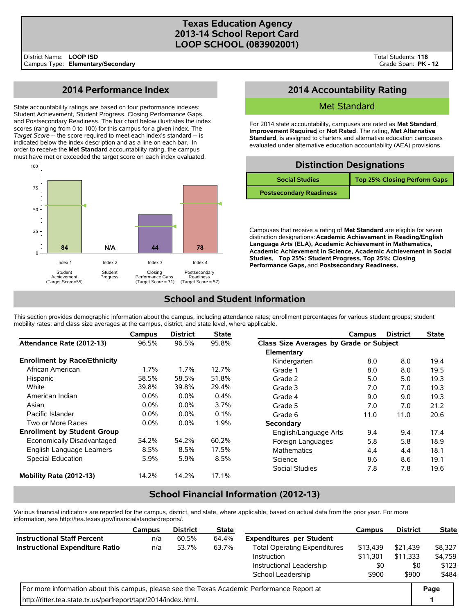### **Texas Education Agency 2013-14 School Report Card LOOP SCHOOL (083902001)**

# **2014 Performance Index**

State accountability ratings are based on four performance indexes: Student Achievement, Student Progress, Closing Performance Gaps, and Postsecondary Readiness. The bar chart below illustrates the index scores (ranging from 0 to 100) for this campus for a given index. The *Target Score* -- the score required to meet each index's standard -- is indicated below the index description and as a line on each bar. In order to receive the **Met Standard** accountability rating, the campus must have met or exceeded the target score on each index evaluated.



# **2014 Accountability Rating**

### Met Standard

For 2014 state accountability, campuses are rated as **Met Standard**, **Improvement Required**, or **Not Rated**. The rating, **Met Alternative Standard**, is assigned to charters and alternative education campuses evaluated under alternative education accountability (AEA) provisions.

|                                | <b>Distinction Designations</b> |
|--------------------------------|---------------------------------|
| <b>Social Studies</b>          | Top 25% Closing Perform Gaps    |
| <b>Postsecondary Readiness</b> |                                 |

Campuses that receive a rating of **Met Standard** are eligible for seven distinction designations: **Academic Achievement in Reading/English Language Arts (ELA), Academic Achievement in Mathematics, Academic Achievement in Science, Academic Achievement in Social Studies, Top 25%: Student Progress, Top 25%: Closing Performance Gaps,** and **Postsecondary Readiness.**

## **School and Student Information**

This section provides demographic information about the campus, including attendance rates; enrollment percentages for various student groups; student mobility rates; and class size averages at the campus, district, and state level, where applicable.

|                                     | Campus  | <b>District</b> | <b>State</b> |                                         | Campus | <b>District</b> | <b>State</b> |
|-------------------------------------|---------|-----------------|--------------|-----------------------------------------|--------|-----------------|--------------|
| Attendance Rate (2012-13)           | 96.5%   | 96.5%           | 95.8%        | Class Size Averages by Grade or Subject |        |                 |              |
|                                     |         |                 |              | Elementary                              |        |                 |              |
| <b>Enrollment by Race/Ethnicity</b> |         |                 |              | Kindergarten                            | 8.0    | 8.0             | 19.4         |
| African American                    | $1.7\%$ | $1.7\%$         | 12.7%        | Grade 1                                 | 8.0    | 8.0             | 19.5         |
| Hispanic                            | 58.5%   | 58.5%           | 51.8%        | Grade 2                                 | 5.0    | 5.0             | 19.3         |
| White                               | 39.8%   | 39.8%           | 29.4%        | Grade 3                                 | 7.0    | 7.0             | 19.3         |
| American Indian                     | $0.0\%$ | 0.0%            | 0.4%         | Grade 4                                 | 9.0    | 9.0             | 19.3         |
| Asian                               | $0.0\%$ | $0.0\%$         | 3.7%         | Grade 5                                 | 7.0    | 7.0             | 21.2         |
| Pacific Islander                    | $0.0\%$ | $0.0\%$         | 0.1%         | Grade 6                                 | 11.0   | 11.0            | 20.6         |
| Two or More Races                   | $0.0\%$ | 0.0%            | 1.9%         | Secondary                               |        |                 |              |
| <b>Enrollment by Student Group</b>  |         |                 |              | English/Language Arts                   | 9.4    | 9.4             | 17.4         |
| Economically Disadvantaged          | 54.2%   | 54.2%           | 60.2%        | Foreign Languages                       | 5.8    | 5.8             | 18.9         |
| English Language Learners           | 8.5%    | 8.5%            | 17.5%        | <b>Mathematics</b>                      | 4.4    | 4.4             | 18.1         |
| Special Education                   | 5.9%    | 5.9%            | 8.5%         | Science                                 | 8.6    | 8.6             | 19.1         |
|                                     |         |                 |              | Social Studies                          | 7.8    | 7.8             | 19.6         |
| Mobility Rate (2012-13)             | 14.2%   | 14.2%           | 17.1%        |                                         |        |                 |              |

## **School Financial Information (2012-13)**

Various financial indicators are reported for the campus, district, and state, where applicable, based on actual data from the prior year. For more information, see http://tea.texas.gov/financialstandardreports/.

|                                                                                             | <b>Campus</b> | <b>District</b> | <b>State</b>               |                                     | <b>Campus</b> | <b>District</b> | <b>State</b> |  |
|---------------------------------------------------------------------------------------------|---------------|-----------------|----------------------------|-------------------------------------|---------------|-----------------|--------------|--|
| <b>Instructional Staff Percent</b>                                                          | n/a           | 60.5%           | 64.4%                      | <b>Expenditures per Student</b>     |               |                 |              |  |
| <b>Instructional Expenditure Ratio</b>                                                      | n/a           | 53.7%           | 63.7%                      | <b>Total Operating Expenditures</b> | \$21.439      | \$8,327         |              |  |
|                                                                                             |               |                 |                            | Instruction                         | \$11.301      | \$11.333        | \$4,759      |  |
|                                                                                             |               |                 |                            | Instructional Leadership            |               | \$0             | \$123        |  |
|                                                                                             |               |                 | School Leadership<br>\$900 |                                     |               | \$900           | \$484        |  |
| For more information about this campus, please see the Texas Academic Performance Report at |               |                 |                            |                                     |               |                 |              |  |
| http://ritter.tea.state.tx.us/perfreport/tapr/2014/index.html.                              |               |                 |                            |                                     |               |                 |              |  |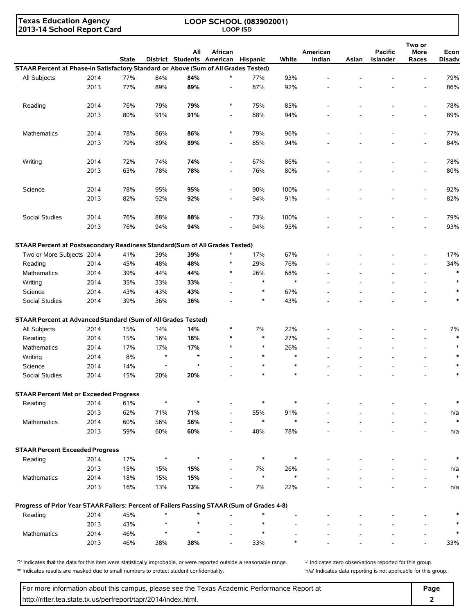**Texas Education Agency 2013-14 School Report Card**

#### **LOOP SCHOOL (083902001) LOOP ISD**

|                                                                                            |              | <b>State</b> |            | All        | African<br>District Students American Hispanic |               | White         | American<br>Indian | Asian | <b>Pacific</b><br>Islander | Two or<br>More<br>Races  | Econ<br><b>Disadv</b> |
|--------------------------------------------------------------------------------------------|--------------|--------------|------------|------------|------------------------------------------------|---------------|---------------|--------------------|-------|----------------------------|--------------------------|-----------------------|
| STAAR Percent at Phase-in Satisfactory Standard or Above (Sum of All Grades Tested)        |              |              |            |            |                                                |               |               |                    |       |                            |                          |                       |
| All Subjects                                                                               | 2014         | 77%          | 84%        | 84%        | $\ast$                                         | 77%           | 93%           |                    |       |                            |                          | 79%                   |
|                                                                                            | 2013         | 77%          | 89%        | 89%        | $\overline{\phantom{a}}$                       | 87%           | 92%           |                    |       |                            | $\overline{a}$           | 86%                   |
| Reading                                                                                    | 2014         | 76%          | 79%        | 79%        | $\ast$                                         | 75%           | 85%           |                    |       |                            | $\overline{\phantom{a}}$ | 78%                   |
|                                                                                            | 2013         | 80%          | 91%        | 91%        | $\overline{\phantom{a}}$                       | 88%           | 94%           |                    |       |                            | $\overline{a}$           | 89%                   |
| <b>Mathematics</b>                                                                         | 2014         | 78%          | 86%        | 86%        | $\ast$                                         | 79%           | 96%           |                    |       |                            | $\overline{\phantom{a}}$ | 77%                   |
|                                                                                            | 2013         | 79%          | 89%        | 89%        | $\overline{\phantom{a}}$                       | 85%           | 94%           |                    |       |                            | $\overline{a}$           | 84%                   |
| Writing                                                                                    | 2014         | 72%          | 74%        | 74%        | $\overline{\phantom{a}}$                       | 67%           | 86%           |                    |       |                            | $\overline{\phantom{a}}$ | 78%                   |
|                                                                                            | 2013         | 63%          | 78%        | 78%        | $\overline{a}$                                 | 76%           | 80%           |                    |       |                            | $\overline{a}$           | 80%                   |
| Science                                                                                    | 2014         | 78%          | 95%        | 95%        | $\overline{a}$                                 | 90%           | 100%          |                    |       |                            | $\overline{a}$           | 92%                   |
|                                                                                            | 2013         | 82%          | 92%        | 92%        | $\overline{a}$                                 | 94%           | 91%           |                    |       |                            | $\overline{a}$           | 82%                   |
| Social Studies                                                                             | 2014         | 76%          | 88%        | 88%        | $\overline{a}$                                 | 73%           | 100%          |                    |       |                            | $\overline{\phantom{a}}$ | 79%                   |
|                                                                                            | 2013         | 76%          | 94%        | 94%        |                                                | 94%           | 95%           |                    |       |                            | $\overline{a}$           | 93%                   |
| STAAR Percent at Postsecondary Readiness Standard(Sum of All Grades Tested)                |              |              |            |            |                                                |               |               |                    |       |                            |                          |                       |
| Two or More Subjects 2014                                                                  |              | 41%          | 39%        | 39%        | $\ast$                                         | 17%           | 67%           |                    |       |                            |                          | 17%                   |
| Reading                                                                                    | 2014         | 45%          | 48%        | 48%        | $\ast$                                         | 29%           | 76%           |                    |       |                            | $\overline{\phantom{a}}$ | 34%                   |
| <b>Mathematics</b>                                                                         | 2014         | 39%          | 44%        | 44%        | $\ast$                                         | 26%           | 68%           |                    |       |                            | $\overline{\phantom{a}}$ | $\ast$                |
| Writing                                                                                    | 2014         | 35%          | 33%        | 33%        | $\overline{a}$                                 | $\ast$        | $\ast$        |                    |       |                            | $\overline{a}$           | $\ast$                |
| Science                                                                                    | 2014         | 43%          | 43%        | 43%        |                                                | $\ast$        | 67%           |                    |       |                            | $\overline{a}$           | $\ast$                |
| Social Studies                                                                             | 2014         | 39%          | 36%        | 36%        |                                                | $\ast$        | 43%           |                    |       |                            |                          | $\ast$                |
| STAAR Percent at Advanced Standard (Sum of All Grades Tested)                              |              |              |            |            |                                                |               |               |                    |       |                            |                          |                       |
| All Subjects                                                                               | 2014         | 15%          | 14%        | 14%        | $\ast$                                         | 7%            | 22%           |                    |       |                            |                          | 7%                    |
| Reading                                                                                    | 2014         | 15%          | 16%        | 16%        | $\ast$                                         | $\ast$        | 27%           |                    |       |                            | $\overline{\phantom{0}}$ | $\ast$                |
| <b>Mathematics</b>                                                                         | 2014         | 17%          | 17%        | 17%        | $\ast$                                         | $\ast$        | 26%           |                    |       |                            | $\overline{\phantom{0}}$ | $\ast$                |
| Writing                                                                                    | 2014         | 8%           | $\ast$     | $\star$    |                                                | $\ast$        | $\ast$        |                    |       |                            | $\overline{a}$           | $\ast$                |
| Science                                                                                    | 2014         | 14%          | $\ast$     | $\star$    |                                                | $\ast$        | $\ast$        |                    |       |                            | $\overline{a}$           |                       |
| Social Studies                                                                             | 2014         | 15%          | 20%        | 20%        |                                                | $\ast$        | $\ast$        |                    |       |                            | $\overline{a}$           | $\ast$                |
| <b>STAAR Percent Met or Exceeded Progress</b>                                              |              |              |            |            |                                                |               |               |                    |       |                            |                          |                       |
| Reading                                                                                    | 2014         | 61%          | $\ast$     | $\star$    |                                                | $\ast$        | $\ast$        |                    |       |                            |                          | $\ast$                |
|                                                                                            | 2013         | 62%          | 71%        | 71%        | $\overline{\phantom{a}}$                       | 55%           | 91%           |                    |       |                            | $\overline{a}$           | n/a                   |
| Mathematics                                                                                | 2014<br>2013 | 60%<br>59%   | 56%<br>60% | 56%<br>60% | $\overline{\phantom{a}}$                       | $\ast$<br>48% | $\ast$<br>78% |                    |       |                            | $\overline{a}$           | $\ast$                |
|                                                                                            |              |              |            |            |                                                |               |               |                    |       |                            |                          | n/a                   |
| <b>STAAR Percent Exceeded Progress</b>                                                     |              |              |            |            |                                                |               |               |                    |       |                            |                          |                       |
| Reading                                                                                    | 2014         | 17%          | $\ast$     | $\star$    |                                                | $\ast$        | $\ast$        |                    |       |                            |                          | $\ast$                |
|                                                                                            | 2013         | 15%          | 15%        | 15%        |                                                | 7%            | 26%           |                    |       |                            |                          | n/a                   |
| Mathematics                                                                                | 2014         | 18%          | 15%        | 15%        |                                                | $\ast$        | $\ast$        |                    |       |                            | $\overline{\phantom{a}}$ | $\ast$                |
|                                                                                            | 2013         | 16%          | 13%        | 13%        |                                                | 7%            | 22%           |                    |       |                            |                          | n/a                   |
| Progress of Prior Year STAAR Failers: Percent of Failers Passing STAAR (Sum of Grades 4-8) |              |              |            |            |                                                |               |               |                    |       |                            |                          |                       |
| Reading                                                                                    | 2014         | 45%          | $\ast$     | $\star$    |                                                | $\ast$        |               |                    |       |                            |                          | $\ast$                |
|                                                                                            | 2013         | 43%          | $\ast$     | $\star$    | $\overline{a}$                                 | $\ast$        |               |                    |       |                            |                          | $\ast$                |
| Mathematics                                                                                | 2014         | 46%          | $\ast$     | $\star$    |                                                | $\ast$        |               |                    |       |                            | $\overline{a}$           | $\ast$                |
|                                                                                            | 2013         | 46%          | 38%        | 38%        |                                                | 33%           | $\ast$        |                    |       |                            |                          | 33%                   |

'?' Indicates that the data for this item were statistically improbable, or were reported outside a reasonable range. '' Indicates zero observations reported for this group. '\*' Indicates results are masked due to small numbers to protect student confidentiality. 'n/a' Indicates data reporting is not applicable for this group.

For more information about this campus, please see the Texas Academic Performance Report at **Page Page** http://ritter.tea.state.tx.us/perfreport/tapr/2014/index.html. **2**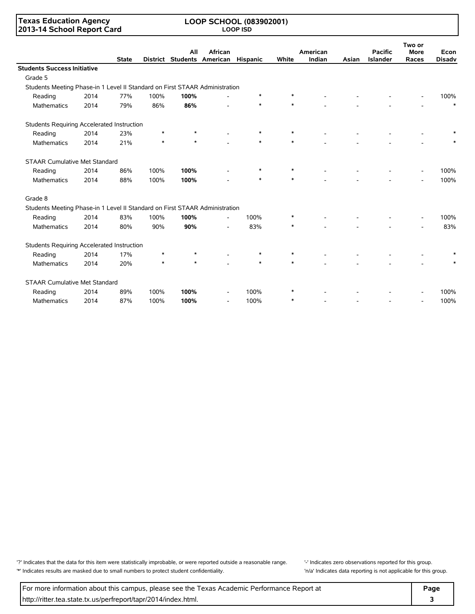### **Texas Education Agency 2013-14 School Report Card**

#### **LOOP SCHOOL (083902001) LOOP ISD**

|                                                                             |      | <b>State</b> |        | All     | African<br>District Students American | Hispanic | White  | American<br>Indian | Asian | <b>Pacific</b><br><b>Islander</b> | Two or<br><b>More</b><br>Races | Econ<br><b>Disadv</b> |
|-----------------------------------------------------------------------------|------|--------------|--------|---------|---------------------------------------|----------|--------|--------------------|-------|-----------------------------------|--------------------------------|-----------------------|
| <b>Students Success Initiative</b>                                          |      |              |        |         |                                       |          |        |                    |       |                                   |                                |                       |
| Grade 5                                                                     |      |              |        |         |                                       |          |        |                    |       |                                   |                                |                       |
| Students Meeting Phase-in 1 Level II Standard on First STAAR Administration |      |              |        |         |                                       |          |        |                    |       |                                   |                                |                       |
| Reading                                                                     | 2014 | 77%          | 100%   | 100%    |                                       | $\ast$   | $\ast$ |                    |       |                                   |                                | 100%                  |
| <b>Mathematics</b>                                                          | 2014 | 79%          | 86%    | 86%     |                                       | $\ast$   | $\ast$ |                    |       |                                   |                                | $\ast$                |
| Students Requiring Accelerated Instruction                                  |      |              |        |         |                                       |          |        |                    |       |                                   |                                |                       |
| Reading                                                                     | 2014 | 23%          | $\ast$ | $\star$ |                                       | $\ast$   |        |                    |       |                                   |                                |                       |
| Mathematics                                                                 | 2014 | 21%          | $\ast$ | $\star$ |                                       |          | $\ast$ |                    |       |                                   |                                |                       |
| <b>STAAR Cumulative Met Standard</b>                                        |      |              |        |         |                                       |          |        |                    |       |                                   |                                |                       |
| Reading                                                                     | 2014 | 86%          | 100%   | 100%    |                                       | *        | $\ast$ |                    |       |                                   |                                | 100%                  |
| <b>Mathematics</b>                                                          | 2014 | 88%          | 100%   | 100%    |                                       | $\ast$   | $\ast$ |                    |       |                                   |                                | 100%                  |
| Grade 8                                                                     |      |              |        |         |                                       |          |        |                    |       |                                   |                                |                       |
| Students Meeting Phase-in 1 Level II Standard on First STAAR Administration |      |              |        |         |                                       |          |        |                    |       |                                   |                                |                       |
| Reading                                                                     | 2014 | 83%          | 100%   | 100%    | $\overline{\phantom{0}}$              | 100%     |        |                    |       |                                   |                                | 100%                  |
| <b>Mathematics</b>                                                          | 2014 | 80%          | 90%    | 90%     |                                       | 83%      | *      |                    |       |                                   |                                | 83%                   |
| Students Requiring Accelerated Instruction                                  |      |              |        |         |                                       |          |        |                    |       |                                   |                                |                       |
| Reading                                                                     | 2014 | 17%          | $\ast$ | $\star$ |                                       | $\ast$   | $\ast$ |                    |       |                                   |                                |                       |
| Mathematics                                                                 | 2014 | 20%          | $\ast$ | $\star$ |                                       | $\ast$   | $\ast$ |                    |       |                                   |                                |                       |
| <b>STAAR Cumulative Met Standard</b>                                        |      |              |        |         |                                       |          |        |                    |       |                                   |                                |                       |
| Reading                                                                     | 2014 | 89%          | 100%   | 100%    |                                       | 100%     |        |                    |       |                                   |                                | 100%                  |
| <b>Mathematics</b>                                                          | 2014 | 87%          | 100%   | 100%    | $\overline{\phantom{a}}$              | 100%     | $\ast$ |                    |       |                                   |                                | 100%                  |

'?' Indicates that the data for this item were statistically improbable, or were reported outside a reasonable range. '' Indicates zero observations reported for this group. '\*' Indicates results are masked due to small numbers to protect student confidentiality. 'n/a' Indicates data reporting is not applicable for this group.

For more information about this campus, please see the Texas Academic Performance Report at **Page Page** http://ritter.tea.state.tx.us/perfreport/tapr/2014/index.html. **3**